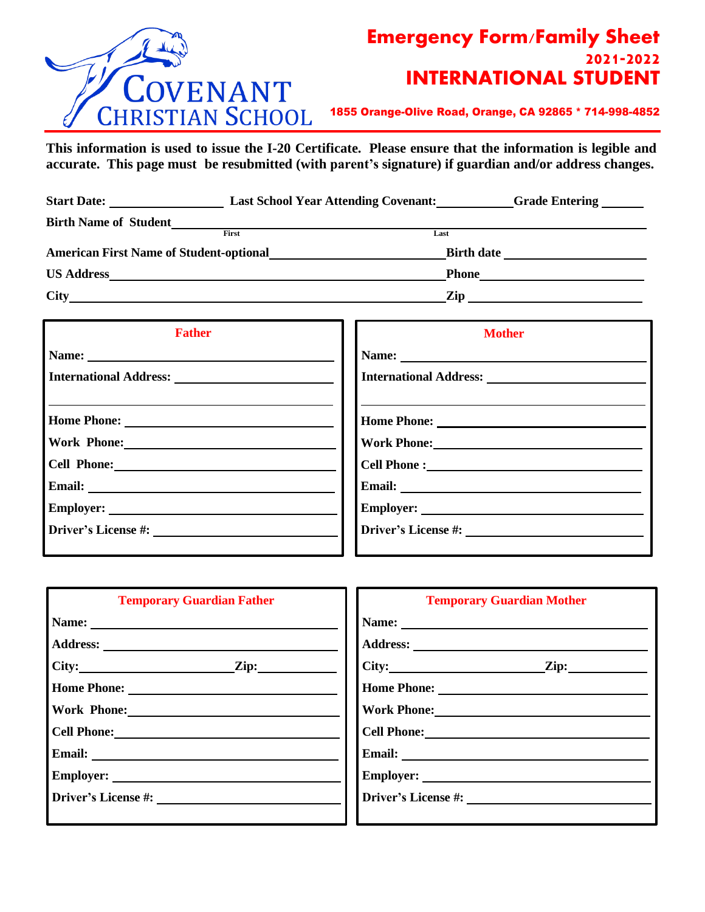

## **Emergency Form/Family Sheet 2021-2022 INTERNATIONAL STUDENT**

1855 Orange-Olive Road, Orange, CA 92865 \* 714-998-4852

**This information is used to issue the I-20 Certificate. Please ensure that the information is legible and accurate. This page must be resubmitted (with parent's signature) if guardian and/or address changes.**

| <b>Start Date:</b>                             | <b>Last School Year Attending Covenant:</b> | Grade Entering _______ |
|------------------------------------------------|---------------------------------------------|------------------------|
| <b>Birth Name of Student</b>                   |                                             |                        |
|                                                | First                                       | Last                   |
| <b>American First Name of Student-optional</b> |                                             | <b>Birth date</b>      |
| <b>US Address</b>                              |                                             | <b>Phone</b>           |
| <b>City</b>                                    |                                             | Zip                    |

| <b>Father</b>             | <b>Mother</b>                                                                                                                                                                                                                 |  |  |
|---------------------------|-------------------------------------------------------------------------------------------------------------------------------------------------------------------------------------------------------------------------------|--|--|
|                           |                                                                                                                                                                                                                               |  |  |
|                           |                                                                                                                                                                                                                               |  |  |
| Work Phone: New York 2014 | Work Phone: New York District of the United States of the United States of the United States of the United States of the United States of the United States of the United States of the United States of the United States of |  |  |
|                           |                                                                                                                                                                                                                               |  |  |
|                           |                                                                                                                                                                                                                               |  |  |
|                           |                                                                                                                                                                                                                               |  |  |
|                           |                                                                                                                                                                                                                               |  |  |

| <b>Temporary Guardian Father</b>                                                                                                                                                                                                                                                                                                                                                                              | <b>Temporary Guardian Mother</b>                                                                               |  |  |
|---------------------------------------------------------------------------------------------------------------------------------------------------------------------------------------------------------------------------------------------------------------------------------------------------------------------------------------------------------------------------------------------------------------|----------------------------------------------------------------------------------------------------------------|--|--|
| Name: $\frac{1}{\sqrt{1-\frac{1}{2}}\sqrt{1-\frac{1}{2}}\sqrt{1-\frac{1}{2}}\sqrt{1-\frac{1}{2}}\sqrt{1-\frac{1}{2}}\sqrt{1-\frac{1}{2}}\sqrt{1-\frac{1}{2}}\sqrt{1-\frac{1}{2}}\sqrt{1-\frac{1}{2}}\sqrt{1-\frac{1}{2}}\sqrt{1-\frac{1}{2}}\sqrt{1-\frac{1}{2}}\sqrt{1-\frac{1}{2}}\sqrt{1-\frac{1}{2}}\sqrt{1-\frac{1}{2}}\sqrt{1-\frac{1}{2}}\sqrt{1-\frac{1}{2}}\sqrt{1-\frac{1}{2}}\sqrt{1-\frac{1}{2}}$ | Name: 2008. 2008. 2010. 2010. 2012. 2012. 2013. 2014. 2015. 2016. 2017. 2018. 2019. 2016. 2017. 2017. 2017. 20 |  |  |
|                                                                                                                                                                                                                                                                                                                                                                                                               |                                                                                                                |  |  |
| $\text{City:}\_$                                                                                                                                                                                                                                                                                                                                                                                              | City: <u>Zip:</u>                                                                                              |  |  |
|                                                                                                                                                                                                                                                                                                                                                                                                               |                                                                                                                |  |  |
| Work Phone: 2008 2012 2022 2023 2024 2022 2022 2023 2024 2022 2023 2024 2022 2023 2024 2022 2023 2024 2025 20                                                                                                                                                                                                                                                                                                 | Work Phone: New York District Phone:                                                                           |  |  |
|                                                                                                                                                                                                                                                                                                                                                                                                               | Cell Phone: New York 1988                                                                                      |  |  |
|                                                                                                                                                                                                                                                                                                                                                                                                               |                                                                                                                |  |  |
|                                                                                                                                                                                                                                                                                                                                                                                                               | $\text{Fmplayer:}\_$                                                                                           |  |  |
|                                                                                                                                                                                                                                                                                                                                                                                                               |                                                                                                                |  |  |
|                                                                                                                                                                                                                                                                                                                                                                                                               |                                                                                                                |  |  |